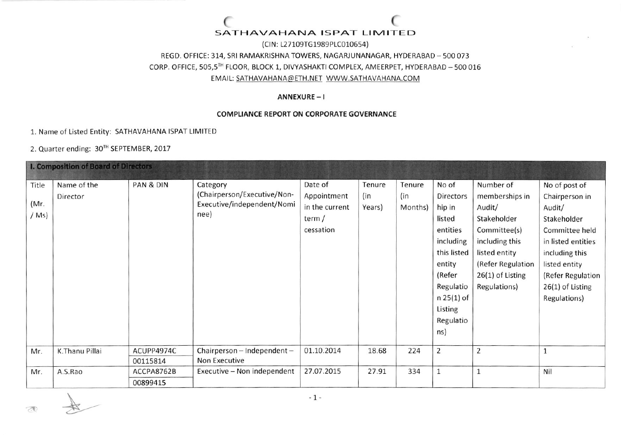## SATHAVAHANA ISPAT LIMITED

(CIN: L27109TG1989PLC010654) REGD. OFFICE: 314, SRI RAMAKRISHNA TOWERS, NAGARJUNANAGAR, HYDERABAD - 500 073 CORP. OFFICE, 505,5TH FLOOR, BLOCK 1, DIVYASHAKTI COMPLEX, AMEERPET, HYDERABAD - 500 016 EMAIL: SATHAVAHANA@ETH.NET WWW.SATHAVAHANA.COM

#### ANNEXURE-I

#### **COMPLIANCE REPORT ON CORPORATE GOVERNANCE**

1. Name of Listed Entity: SATHAVAHANA ISPAT LIMITED

2. Quarter ending: 30TH SEPTEMBER, 2017

| <b>I. Composition of Board of Directors</b> |                         |                        |                                                                               |                                                                |                         |                          |                                                                                                                                                                |                                                                                                                                                                    |                                                                                                                                                                                              |
|---------------------------------------------|-------------------------|------------------------|-------------------------------------------------------------------------------|----------------------------------------------------------------|-------------------------|--------------------------|----------------------------------------------------------------------------------------------------------------------------------------------------------------|--------------------------------------------------------------------------------------------------------------------------------------------------------------------|----------------------------------------------------------------------------------------------------------------------------------------------------------------------------------------------|
| Title<br>(Mr.<br>$/Ms$ )                    | Name of the<br>Director | PAN & DIN              | Category<br>(Chairperson/Executive/Non-<br>Executive/independent/Nomi<br>nee) | Date of<br>Appointment<br>in the current<br>term/<br>cessation | Tenure<br>(in<br>Years) | Tenure<br>(in<br>Months) | No of<br>Directors<br>hip in<br>listed<br>entities<br>including<br>this listed<br>entity<br>(Refer<br>Regulatio<br>$n 25(1)$ of<br>Listing<br>Regulatio<br>ns) | Number of<br>memberships in<br>Audit/<br>Stakeholder<br>Committee(s)<br>including this<br>listed entity<br>(Refer Regulation<br>$26(1)$ of Listing<br>Regulations) | No of post of<br>Chairperson in<br>Audit/<br>Stakeholder<br>Committee held<br>in listed entities<br>including this<br>listed entity<br>(Refer Regulation<br>26(1) of Listing<br>Regulations) |
| Mr.                                         | K.Thanu Pillai          | ACUPP4974C<br>00115814 | Chairperson - Independent -<br>Non Executive                                  | 01.10.2014                                                     | 18.68                   | 224                      | $\overline{2}$                                                                                                                                                 | $\overline{2}$                                                                                                                                                     |                                                                                                                                                                                              |
| Mr.                                         | A.S.Rao                 | ACCPA8762B<br>00899415 | Executive - Non independent                                                   | 27.07.2015                                                     | 27.91                   | 334                      | $\mathbf{1}$                                                                                                                                                   | $1\,$                                                                                                                                                              | Nil                                                                                                                                                                                          |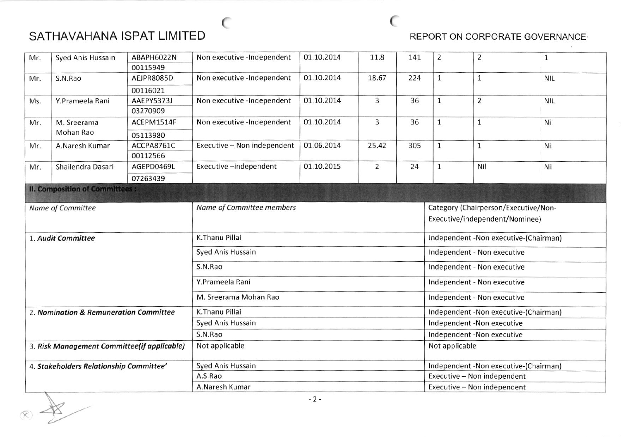# SATHAVAHANA ISPAT LIMITED

e

### REPORT ON CORPORATE GOVERNANCE

| Mr.<br>Syed Anis Hussain                    |                                       | ABAPH6022N | Non executive -Independent  | 01.10.2014 | 11.8           | 141 | $\overline{2}$                        | $\overline{2}$ | $\mathbf{1}$ |  |
|---------------------------------------------|---------------------------------------|------------|-----------------------------|------------|----------------|-----|---------------------------------------|----------------|--------------|--|
|                                             |                                       | 00115949   |                             |            |                |     |                                       |                |              |  |
| Mr.                                         | S.N.Rao                               | AEJPR8085D | Non executive -Independent  | 01.10.2014 | 18.67          | 224 | $\mathbf{1}$                          | $\mathbf{1}$   | <b>NIL</b>   |  |
|                                             |                                       | 00116021   |                             |            |                |     |                                       |                |              |  |
| Ms.                                         | Y.Prameela Rani                       | AAEPY5373J | Non executive -Independent  | 01.10.2014 | $\overline{3}$ | 36  | $\mathbf{1}$                          | $\overline{2}$ | <b>NIL</b>   |  |
|                                             |                                       | 03270909   |                             |            |                |     |                                       |                |              |  |
| Mr.                                         | M. Sreerama                           | ACEPM1514F | Non executive -Independent  | 01.10.2014 | 3              | 36  | $\mathbf{1}$                          | $\mathbf{1}$   | Nil          |  |
|                                             | Mohan Rao                             | 05113980   |                             |            |                |     |                                       |                |              |  |
| Mr.                                         | A.Naresh Kumar                        | ACCPA8761C | Executive - Non independent | 01.06.2014 | 25.42          | 305 | $\mathbf{1}$                          | $1\,$          | Nil          |  |
|                                             |                                       | 00112566   |                             |            |                |     |                                       |                |              |  |
| Mr.                                         | Shailendra Dasari                     | AGEPD0469L | Executive-independent       | 01.10.2015 | $\overline{2}$ | 24  | $\mathbf{1}$                          | Nil            | Nil          |  |
|                                             |                                       | 07263439   |                             |            |                |     |                                       |                |              |  |
|                                             | <b>II. Composition of Committees:</b> |            |                             |            |                |     |                                       |                |              |  |
| Name of Committee                           |                                       |            | Name of Committee members   |            |                |     | Category (Chairperson/Executive/Non-  |                |              |  |
|                                             |                                       |            |                             |            |                |     | Executive/independent/Nominee)        |                |              |  |
|                                             |                                       |            |                             |            |                |     |                                       |                |              |  |
|                                             | 1. Audit Committee                    |            | K.Thanu Pillai              |            |                |     | Independent -Non executive-(Chairman) |                |              |  |
|                                             |                                       |            | Syed Anis Hussain           |            |                |     | Independent - Non executive           |                |              |  |
|                                             |                                       |            | S.N.Rao                     |            |                |     | Independent - Non executive           |                |              |  |
|                                             |                                       |            | Y.Prameela Rani             |            |                |     | Independent - Non executive           |                |              |  |
|                                             |                                       |            | M. Sreerama Mohan Rao       |            |                |     | Independent - Non executive           |                |              |  |
| 2. Nomination & Remuneration Committee      |                                       |            | K.Thanu Pillai              |            |                |     | Independent -Non executive-(Chairman) |                |              |  |
|                                             |                                       |            | Syed Anis Hussain           |            |                |     | Independent -Non executive            |                |              |  |
|                                             |                                       |            | S.N.Rao                     |            |                |     | Independent -Non executive            |                |              |  |
| 3. Risk Management Committee(if applicable) |                                       |            | Not applicable              |            |                |     | Not applicable                        |                |              |  |
| 4. Stakeholders Relationship Committee'     |                                       |            | Syed Anis Hussain           |            |                |     | Independent -Non executive-(Chairman) |                |              |  |
|                                             |                                       |            | A.S.Rao                     |            |                |     | Executive - Non independent           |                |              |  |
|                                             |                                       |            | A.Naresh Kumar              |            |                |     | Executive - Non independent           |                |              |  |
|                                             |                                       |            |                             | $-2-$      |                |     |                                       |                |              |  |

 $\sim$  (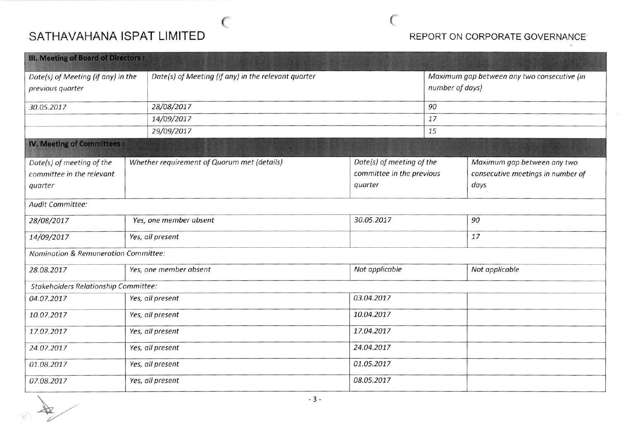# SATHAVAHANA ISPAT LIMITED **Example 20 Second 19th Automobile Prepare in Corporate Governance**

(

(

| III. Meeting of Board of Directors :                   |  |                                                     |                           |                           |                                                                |                                   |  |
|--------------------------------------------------------|--|-----------------------------------------------------|---------------------------|---------------------------|----------------------------------------------------------------|-----------------------------------|--|
| Date(s) of Meeting (if any) in the<br>previous quarter |  | Date(s) of Meeting (if any) in the relevant quarter |                           |                           | Maximum gap between any two consecutive (in<br>number of days) |                                   |  |
| 30.05.2017                                             |  | 28/08/2017                                          |                           |                           | 90                                                             |                                   |  |
|                                                        |  | 14/09/2017                                          |                           |                           | 17                                                             |                                   |  |
|                                                        |  | 29/09/2017                                          |                           |                           | 15                                                             |                                   |  |
| <b>IV. Meeting of Committees:</b>                      |  |                                                     |                           |                           |                                                                |                                   |  |
| Date(s) of meeting of the                              |  | Whether requirement of Quorum met (details)         | Date(s) of meeting of the |                           |                                                                | Maximum gap between any two       |  |
| committee in the relevant                              |  |                                                     |                           | committee in the previous |                                                                | consecutive meetings in number of |  |
| quarter                                                |  |                                                     | quarter                   |                           |                                                                | days                              |  |
| Audit Committee:                                       |  |                                                     |                           |                           |                                                                |                                   |  |
| 28/08/2017                                             |  | Yes, one member absent                              |                           | 30.05.2017                |                                                                | 90                                |  |
| 14/09/2017                                             |  | Yes, all present                                    |                           |                           |                                                                | 17                                |  |
| Nomination & Remuneration Committee:                   |  |                                                     |                           |                           |                                                                |                                   |  |
| 28.08.2017                                             |  | Yes, one member absent                              | Not applicable            |                           |                                                                | Not applicable                    |  |
| <b>Stakeholders Relationship Committee:</b>            |  |                                                     |                           |                           |                                                                |                                   |  |
| 04.07.2017                                             |  | Yes, all present                                    |                           | 03.04.2017                |                                                                |                                   |  |
| 10.07.2017                                             |  | Yes, all present                                    |                           | 10.04.2017                |                                                                |                                   |  |
| 17.07.2017                                             |  | Yes, all present                                    |                           | 17.04.2017                |                                                                |                                   |  |
| 24.07.2017                                             |  | Yes, all present                                    |                           | 24.04.2017                |                                                                |                                   |  |
| 01.08.2017                                             |  | Yes, all present                                    | 01.05.2017                |                           |                                                                |                                   |  |
| 07.08.2017                                             |  | Yes, all present                                    |                           | 08.05.2017                |                                                                |                                   |  |

 $\overline{a}$